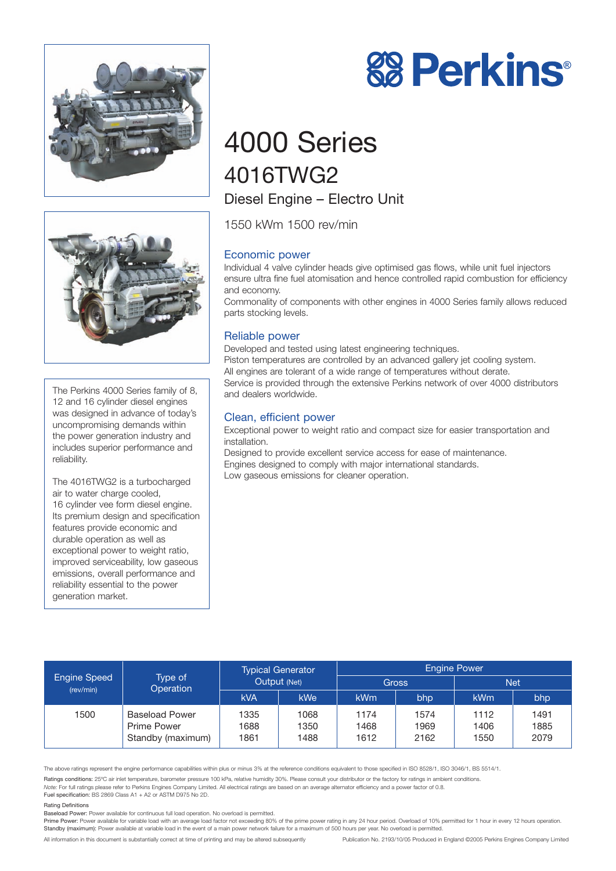



The Perkins 4000 Series family of 8, 12 and 16 cylinder diesel engines was designed in advance of today's uncompromising demands within the power generation industry and includes superior performance and reliability.

The 4016TWG2 is a turbocharged air to water charge cooled, 16 cylinder vee form diesel engine. Its premium design and specification features provide economic and durable operation as well as exceptional power to weight ratio, improved serviceability, low gaseous emissions, overall performance and reliability essential to the power generation market.



# 4000 Series 4016TWG2 Diesel Engine – Electro Unit

1550 kWm 1500 rev/min

# Economic power

Individual 4 valve cylinder heads give optimised gas flows, while unit fuel injectors ensure ultra fine fuel atomisation and hence controlled rapid combustion for efficiency and economy.

Commonality of components with other engines in 4000 Series family allows reduced parts stocking levels.

## Reliable power

Developed and tested using latest engineering techniques. Piston temperatures are controlled by an advanced gallery jet cooling system. All engines are tolerant of a wide range of temperatures without derate. Service is provided through the extensive Perkins network of over 4000 distributors and dealers worldwide.

### Clean, efficient power

Exceptional power to weight ratio and compact size for easier transportation and installation.

Designed to provide excellent service access for ease of maintenance. Engines designed to comply with major international standards. Low gaseous emissions for cleaner operation.

| <b>Engine Speed</b><br>(rev/min) | Type of<br>Operation                                      | <b>Typical Generator</b><br>Output (Net) |                      | <b>Engine Power</b>  |                      |                      |                      |
|----------------------------------|-----------------------------------------------------------|------------------------------------------|----------------------|----------------------|----------------------|----------------------|----------------------|
|                                  |                                                           |                                          |                      | <b>Gross</b>         |                      | Net                  |                      |
|                                  |                                                           | <b>kVA</b>                               | <b>kWe</b>           | <b>kWm</b>           | bhp                  | <b>kWm</b>           | bhp                  |
| 1500                             | <b>Baseload Power</b><br>Prime Power<br>Standby (maximum) | 1335<br>1688<br>1861                     | 1068<br>1350<br>1488 | 1174<br>1468<br>1612 | 1574<br>1969<br>2162 | 1112<br>1406<br>1550 | 1491<br>1885<br>2079 |

The above ratings represent the engine performance capabilities within plus or minus 3% at the reference conditions equivalent to those specified in ISO 8528/1, ISO 3046/1, BS 5514/1.

Ratings conditions: 25°C air inlet temperature, barometer pressure 100 kPa, relative humidity 30%. Please consult your distributor or the factory for ratings in ambient conditions. *Note:* For full ratings please refer to Perkins Engines Company Limited. All electrical ratings are based on an average alternator efficiency and a power factor of 0.8.

Fuel specification: BS 2869 Class A1 + A2 or ASTM D975 No 2D.

#### Rating Definitions

Baseload Power: Power available for continuous full load operation. No overload is permitted.

Prime Power: Power available for variable load with an average load factor not exceeding 80% of the prime power rating in any 24 hour period. Overload of 10% permitted for 1 hour in every 12 hours operation. Standby (maximum): Power available at variable load in the event of a main power network failure for a maximum of 500 hours per year. No overload is permitted.

All information in this document is substantially correct at time of printing and may be altered subsequently Publication No. 2193/10/05 Produced in England ©2005 Perkins Engines Company Limited